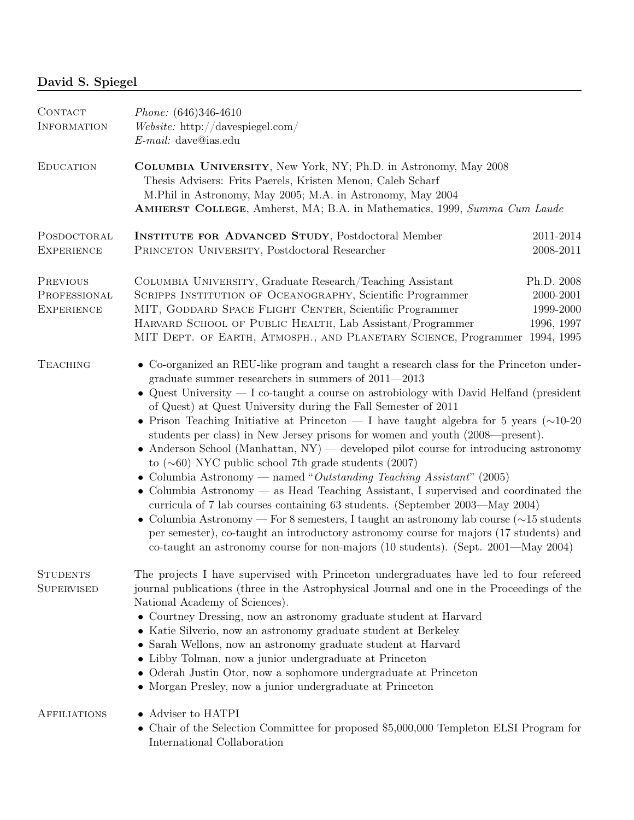## David S. Spiegel

| CONTACT<br><b>INFORMATION</b>                 | Phone: (646)346-4610<br>Website: http://davespiegel.com/<br>$E$ -mail: dave@ias.edu                                                                                                                                                                                                                                                                                                                                                                                                                                                                                                                                                                                                                                                                                                                                                                                                                                                                                                                                                                                                                                                                                                                       |                                                    |
|-----------------------------------------------|-----------------------------------------------------------------------------------------------------------------------------------------------------------------------------------------------------------------------------------------------------------------------------------------------------------------------------------------------------------------------------------------------------------------------------------------------------------------------------------------------------------------------------------------------------------------------------------------------------------------------------------------------------------------------------------------------------------------------------------------------------------------------------------------------------------------------------------------------------------------------------------------------------------------------------------------------------------------------------------------------------------------------------------------------------------------------------------------------------------------------------------------------------------------------------------------------------------|----------------------------------------------------|
| <b>EDUCATION</b>                              | COLUMBIA UNIVERSITY, New York, NY; Ph.D. in Astronomy, May 2008<br>Thesis Advisers: Frits Paerels, Kristen Menou, Caleb Scharf<br>M.Phil in Astronomy, May 2005; M.A. in Astronomy, May 2004<br>AMHERST COLLEGE, Amherst, MA; B.A. in Mathematics, 1999, Summa Cum Laude                                                                                                                                                                                                                                                                                                                                                                                                                                                                                                                                                                                                                                                                                                                                                                                                                                                                                                                                  |                                                    |
| POSDOCTORAL<br><b>EXPERIENCE</b>              | <b>INSTITUTE FOR ADVANCED STUDY, Postdoctoral Member</b><br>PRINCETON UNIVERSITY, Postdoctoral Researcher                                                                                                                                                                                                                                                                                                                                                                                                                                                                                                                                                                                                                                                                                                                                                                                                                                                                                                                                                                                                                                                                                                 | 2011-2014<br>2008-2011                             |
| PREVIOUS<br>PROFESSIONAL<br><b>EXPERIENCE</b> | COLUMBIA UNIVERSITY, Graduate Research/Teaching Assistant<br>SCRIPPS INSTITUTION OF OCEANOGRAPHY, Scientific Programmer<br>MIT, GODDARD SPACE FLIGHT CENTER, Scientific Programmer<br>HARVARD SCHOOL OF PUBLIC HEALTH, Lab Assistant/Programmer<br>MIT DEPT. OF EARTH, ATMOSPH., AND PLANETARY SCIENCE, Programmer 1994, 1995                                                                                                                                                                                                                                                                                                                                                                                                                                                                                                                                                                                                                                                                                                                                                                                                                                                                             | Ph.D. 2008<br>2000-2001<br>1999-2000<br>1996, 1997 |
| <b>TEACHING</b>                               | • Co-organized an REU-like program and taught a research class for the Princeton under-<br>graduate summer researchers in summers of $2011 - 2013$<br>• Quest University $- I$ co-taught a course on astrobiology with David Helfand (president<br>of Quest) at Quest University during the Fall Semester of 2011<br>• Prison Teaching Initiative at Princeton — I have taught algebra for 5 years ( $\sim$ 10-20<br>students per class) in New Jersey prisons for women and youth (2008—present).<br>$\bullet$ Anderson School (Manhattan, NY) — developed pilot course for introducing astronomy<br>to $(\sim 60)$ NYC public school 7th grade students (2007)<br>• Columbia Astronomy — named "Outstanding Teaching Assistant" (2005)<br>• Columbia Astronomy $-$ as Head Teaching Assistant, I supervised and coordinated the<br>curricula of 7 lab courses containing 63 students. (September 2003—May 2004)<br>• Columbia Astronomy – For 8 semesters, I taught an astronomy lab course $(\sim 15 \text{ students})$<br>per semester), co-taught an introductory astronomy course for majors (17 students) and<br>co-taught an astronomy course for non-majors (10 students). (Sept. 2001—May 2004) |                                                    |
| <b>STUDENTS</b><br><b>SUPERVISED</b>          | The projects I have supervised with Princeton undergraduates have led to four refereed<br>journal publications (three in the Astrophysical Journal and one in the Proceedings of the<br>National Academy of Sciences).<br>• Courtney Dressing, now an astronomy graduate student at Harvard<br>• Katie Silverio, now an astronomy graduate student at Berkeley<br>• Sarah Wellons, now an astronomy graduate student at Harvard<br>• Libby Tolman, now a junior undergraduate at Princeton<br>• Oderah Justin Otor, now a sophomore undergraduate at Princeton<br>• Morgan Presley, now a junior undergraduate at Princeton                                                                                                                                                                                                                                                                                                                                                                                                                                                                                                                                                                               |                                                    |
| <b>AFFILIATIONS</b>                           | • Adviser to HATPI<br>• Chair of the Selection Committee for proposed \$5,000,000 Templeton ELSI Program for<br>International Collaboration                                                                                                                                                                                                                                                                                                                                                                                                                                                                                                                                                                                                                                                                                                                                                                                                                                                                                                                                                                                                                                                               |                                                    |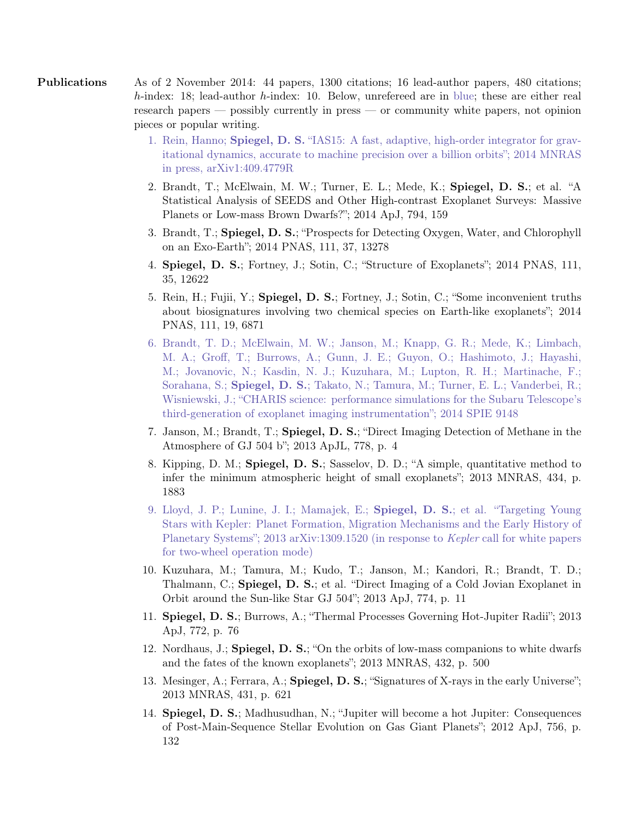Publications As of 2 November 2014: 44 papers, 1300 citations; 16 lead-author papers, 480 citations; h-index: 18; lead-author h-index: 10. Below, unrefereed are in blue; these are either real research papers — possibly currently in press — or community white papers, not opinion pieces or popular writing.

- 1. Rein, Hanno; Spiegel, D. S. "IAS15: A fast, adaptive, high-order integrator for gravitational dynamics, accurate to machine precision over a billion orbits"; 2014 MNRAS in press, arXiv1:409.4779R
- 2. Brandt, T.; McElwain, M. W.; Turner, E. L.; Mede, K.; Spiegel, D. S.; et al. "A Statistical Analysis of SEEDS and Other High-contrast Exoplanet Surveys: Massive Planets or Low-mass Brown Dwarfs?"; 2014 ApJ, 794, 159
- 3. Brandt, T.; Spiegel, D. S.; "Prospects for Detecting Oxygen, Water, and Chlorophyll on an Exo-Earth"; 2014 PNAS, 111, 37, 13278
- 4. Spiegel, D. S.; Fortney, J.; Sotin, C.; "Structure of Exoplanets"; 2014 PNAS, 111, 35, 12622
- 5. Rein, H.; Fujii, Y.; Spiegel, D. S.; Fortney, J.; Sotin, C.; "Some inconvenient truths about biosignatures involving two chemical species on Earth-like exoplanets"; 2014 PNAS, 111, 19, 6871
- 6. Brandt, T. D.; McElwain, M. W.; Janson, M.; Knapp, G. R.; Mede, K.; Limbach, M. A.; Groff, T.; Burrows, A.; Gunn, J. E.; Guyon, O.; Hashimoto, J.; Hayashi, M.; Jovanovic, N.; Kasdin, N. J.; Kuzuhara, M.; Lupton, R. H.; Martinache, F.; Sorahana, S.; Spiegel, D. S.; Takato, N.; Tamura, M.; Turner, E. L.; Vanderbei, R.; Wisniewski, J.; "CHARIS science: performance simulations for the Subaru Telescope's third-generation of exoplanet imaging instrumentation"; 2014 SPIE 9148
- 7. Janson, M.; Brandt, T.; Spiegel, D. S.; "Direct Imaging Detection of Methane in the Atmosphere of GJ 504 b"; 2013 ApJL, 778, p. 4
- 8. Kipping, D. M.; Spiegel, D. S.; Sasselov, D. D.; "A simple, quantitative method to infer the minimum atmospheric height of small exoplanets"; 2013 MNRAS, 434, p. 1883
- 9. Lloyd, J. P.; Lunine, J. I.; Mamajek, E.; Spiegel, D. S.; et al. "Targeting Young Stars with Kepler: Planet Formation, Migration Mechanisms and the Early History of Planetary Systems"; 2013 arXiv:1309.1520 (in response to *Kepler* call for white papers for two-wheel operation mode)
- 10. Kuzuhara, M.; Tamura, M.; Kudo, T.; Janson, M.; Kandori, R.; Brandt, T. D.; Thalmann, C.; Spiegel, D. S.; et al. "Direct Imaging of a Cold Jovian Exoplanet in Orbit around the Sun-like Star GJ 504"; 2013 ApJ, 774, p. 11
- 11. Spiegel, D. S.; Burrows, A.; "Thermal Processes Governing Hot-Jupiter Radii"; 2013 ApJ, 772, p. 76
- 12. Nordhaus, J.; Spiegel, D. S.; "On the orbits of low-mass companions to white dwarfs and the fates of the known exoplanets"; 2013 MNRAS, 432, p. 500
- 13. Mesinger, A.; Ferrara, A.; Spiegel, D. S.; "Signatures of X-rays in the early Universe"; 2013 MNRAS, 431, p. 621
- 14. Spiegel, D. S.; Madhusudhan, N.; "Jupiter will become a hot Jupiter: Consequences of Post-Main-Sequence Stellar Evolution on Gas Giant Planets"; 2012 ApJ, 756, p. 132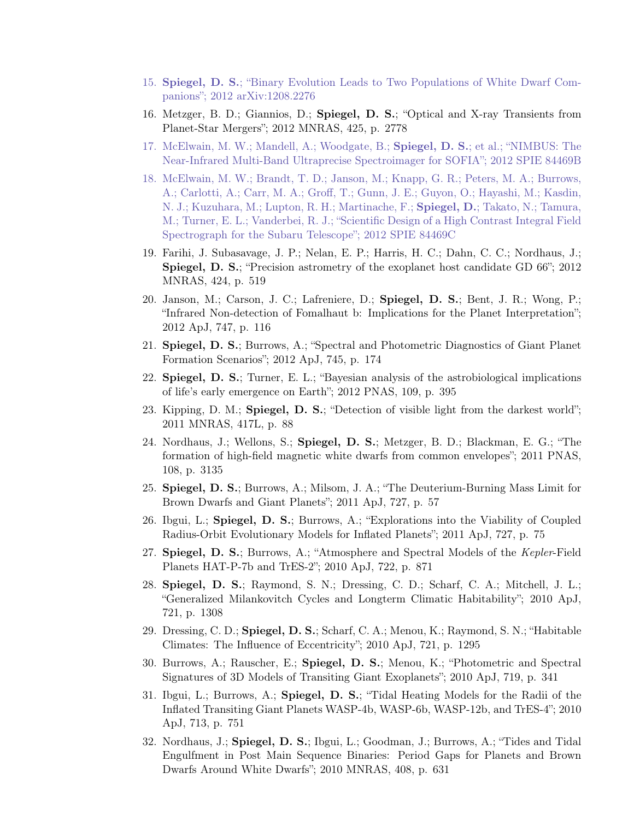- 15. Spiegel, D. S.; "Binary Evolution Leads to Two Populations of White Dwarf Companions"; 2012 arXiv:1208.2276
- 16. Metzger, B. D.; Giannios, D.; Spiegel, D. S.; "Optical and X-ray Transients from Planet-Star Mergers"; 2012 MNRAS, 425, p. 2778
- 17. McElwain, M. W.; Mandell, A.; Woodgate, B.; Spiegel, D. S.; et al.; "NIMBUS: The Near-Infrared Multi-Band Ultraprecise Spectroimager for SOFIA"; 2012 SPIE 84469B
- 18. McElwain, M. W.; Brandt, T. D.; Janson, M.; Knapp, G. R.; Peters, M. A.; Burrows, A.; Carlotti, A.; Carr, M. A.; Groff, T.; Gunn, J. E.; Guyon, O.; Hayashi, M.; Kasdin, N. J.; Kuzuhara, M.; Lupton, R. H.; Martinache, F.; Spiegel, D.; Takato, N.; Tamura, M.; Turner, E. L.; Vanderbei, R. J.; "Scientific Design of a High Contrast Integral Field Spectrograph for the Subaru Telescope"; 2012 SPIE 84469C
- 19. Farihi, J. Subasavage, J. P.; Nelan, E. P.; Harris, H. C.; Dahn, C. C.; Nordhaus, J.; Spiegel, D. S.; "Precision astrometry of the exoplanet host candidate GD 66"; 2012 MNRAS, 424, p. 519
- 20. Janson, M.; Carson, J. C.; Lafreniere, D.; Spiegel, D. S.; Bent, J. R.; Wong, P.; "Infrared Non-detection of Fomalhaut b: Implications for the Planet Interpretation"; 2012 ApJ, 747, p. 116
- 21. Spiegel, D. S.; Burrows, A.; "Spectral and Photometric Diagnostics of Giant Planet Formation Scenarios"; 2012 ApJ, 745, p. 174
- 22. Spiegel, D. S.; Turner, E. L.; "Bayesian analysis of the astrobiological implications of life's early emergence on Earth"; 2012 PNAS, 109, p. 395
- 23. Kipping, D. M.; Spiegel, D. S.; "Detection of visible light from the darkest world"; 2011 MNRAS, 417L, p. 88
- 24. Nordhaus, J.; Wellons, S.; Spiegel, D. S.; Metzger, B. D.; Blackman, E. G.; "The formation of high-field magnetic white dwarfs from common envelopes"; 2011 PNAS, 108, p. 3135
- 25. Spiegel, D. S.; Burrows, A.; Milsom, J. A.; "The Deuterium-Burning Mass Limit for Brown Dwarfs and Giant Planets"; 2011 ApJ, 727, p. 57
- 26. Ibgui, L.; Spiegel, D. S.; Burrows, A.; "Explorations into the Viability of Coupled Radius-Orbit Evolutionary Models for Inflated Planets"; 2011 ApJ, 727, p. 75
- 27. Spiegel, D. S.; Burrows, A.; "Atmosphere and Spectral Models of the Kepler-Field Planets HAT-P-7b and TrES-2"; 2010 ApJ, 722, p. 871
- 28. Spiegel, D. S.; Raymond, S. N.; Dressing, C. D.; Scharf, C. A.; Mitchell, J. L.; "Generalized Milankovitch Cycles and Longterm Climatic Habitability"; 2010 ApJ, 721, p. 1308
- 29. Dressing, C. D.; Spiegel, D. S.; Scharf, C. A.; Menou, K.; Raymond, S. N.; "Habitable Climates: The Influence of Eccentricity"; 2010 ApJ, 721, p. 1295
- 30. Burrows, A.; Rauscher, E.; Spiegel, D. S.; Menou, K.; "Photometric and Spectral Signatures of 3D Models of Transiting Giant Exoplanets"; 2010 ApJ, 719, p. 341
- 31. Ibgui, L.; Burrows, A.; Spiegel, D. S.; "Tidal Heating Models for the Radii of the Inflated Transiting Giant Planets WASP-4b, WASP-6b, WASP-12b, and TrES-4"; 2010 ApJ, 713, p. 751
- 32. Nordhaus, J.; Spiegel, D. S.; Ibgui, L.; Goodman, J.; Burrows, A.; "Tides and Tidal Engulfment in Post Main Sequence Binaries: Period Gaps for Planets and Brown Dwarfs Around White Dwarfs"; 2010 MNRAS, 408, p. 631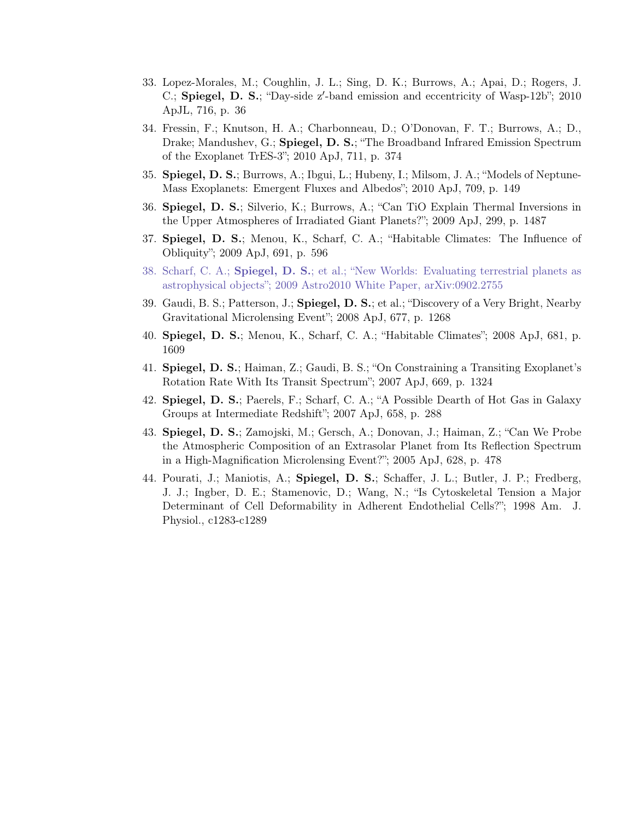- 33. Lopez-Morales, M.; Coughlin, J. L.; Sing, D. K.; Burrows, A.; Apai, D.; Rogers, J. C.; Spiegel, D. S.; "Day-side z'-band emission and eccentricity of Wasp-12b"; 2010 ApJL, 716, p. 36
- 34. Fressin, F.; Knutson, H. A.; Charbonneau, D.; O'Donovan, F. T.; Burrows, A.; D., Drake; Mandushev, G.; Spiegel, D. S.; "The Broadband Infrared Emission Spectrum of the Exoplanet TrES-3"; 2010 ApJ, 711, p. 374
- 35. Spiegel, D. S.; Burrows, A.; Ibgui, L.; Hubeny, I.; Milsom, J. A.; "Models of Neptune-Mass Exoplanets: Emergent Fluxes and Albedos"; 2010 ApJ, 709, p. 149
- 36. Spiegel, D. S.; Silverio, K.; Burrows, A.; "Can TiO Explain Thermal Inversions in the Upper Atmospheres of Irradiated Giant Planets?"; 2009 ApJ, 299, p. 1487
- 37. Spiegel, D. S.; Menou, K., Scharf, C. A.; "Habitable Climates: The Influence of Obliquity"; 2009 ApJ, 691, p. 596
- 38. Scharf, C. A.; Spiegel, D. S.; et al.; "New Worlds: Evaluating terrestrial planets as astrophysical objects"; 2009 Astro2010 White Paper, arXiv:0902.2755
- 39. Gaudi, B. S.; Patterson, J.; Spiegel, D. S.; et al.; "Discovery of a Very Bright, Nearby Gravitational Microlensing Event"; 2008 ApJ, 677, p. 1268
- 40. Spiegel, D. S.; Menou, K., Scharf, C. A.; "Habitable Climates"; 2008 ApJ, 681, p. 1609
- 41. Spiegel, D. S.; Haiman, Z.; Gaudi, B. S.; "On Constraining a Transiting Exoplanet's Rotation Rate With Its Transit Spectrum"; 2007 ApJ, 669, p. 1324
- 42. Spiegel, D. S.; Paerels, F.; Scharf, C. A.; "A Possible Dearth of Hot Gas in Galaxy Groups at Intermediate Redshift"; 2007 ApJ, 658, p. 288
- 43. Spiegel, D. S.; Zamojski, M.; Gersch, A.; Donovan, J.; Haiman, Z.; "Can We Probe the Atmospheric Composition of an Extrasolar Planet from Its Reflection Spectrum in a High-Magnification Microlensing Event?"; 2005 ApJ, 628, p. 478
- 44. Pourati, J.; Maniotis, A.; Spiegel, D. S.; Schaffer, J. L.; Butler, J. P.; Fredberg, J. J.; Ingber, D. E.; Stamenovic, D.; Wang, N.; "Is Cytoskeletal Tension a Major Determinant of Cell Deformability in Adherent Endothelial Cells?"; 1998 Am. J. Physiol., c1283-c1289